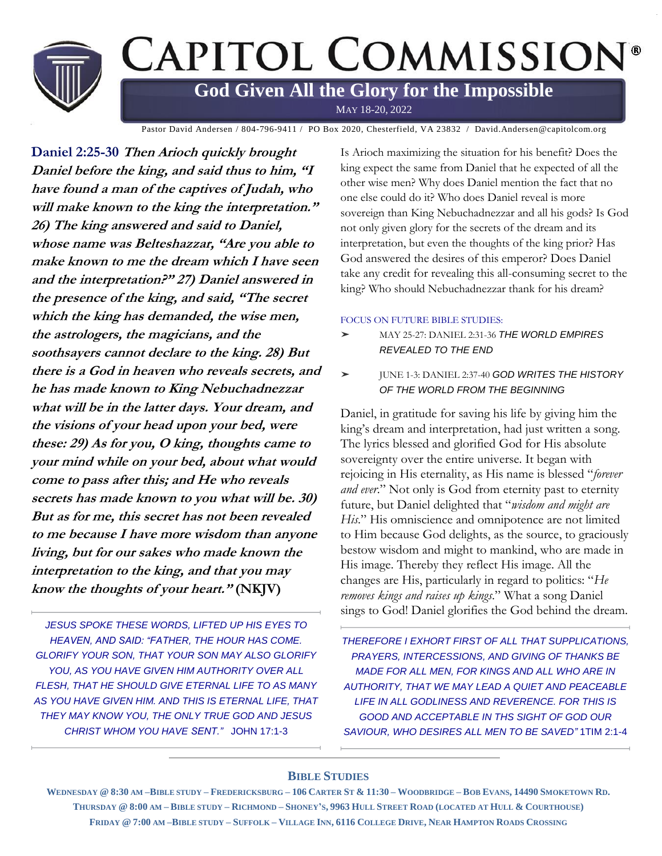

Pastor David Andersen / 804-796-9411 / PO Box 2020, Chesterfield, VA 23832 / David.Andersen@capitolcom.org

**Daniel 2:25-30 Then Arioch quickly brought Daniel before the king, and said thus to him, "I have found a man of the captives of Judah, who will make known to the king the interpretation." 26) The king answered and said to Daniel, whose name was Belteshazzar, "Are you able to make known to me the dream which I have seen and the interpretation?" 27) Daniel answered in the presence of the king, and said, "The secret which the king has demanded, the wise men, the astrologers, the magicians, and the soothsayers cannot declare to the king. 28) But there is a God in heaven who reveals secrets, and he has made known to King Nebuchadnezzar what will be in the latter days. Your dream, and the visions of your head upon your bed, were these: 29) As for you, O king, thoughts came to your mind while on your bed, about what would come to pass after this; and He who reveals secrets has made known to you what will be. 30) But as for me, this secret has not been revealed to me because I have more wisdom than anyone living, but for our sakes who made known the interpretation to the king, and that you may know the thoughts of your heart." (NKJV)**

*JESUS SPOKE THESE WORDS, LIFTED UP HIS EYES TO HEAVEN, AND SAID: "FATHER, THE HOUR HAS COME. GLORIFY YOUR SON, THAT YOUR SON MAY ALSO GLORIFY YOU, AS YOU HAVE GIVEN HIM AUTHORITY OVER ALL FLESH, THAT HE SHOULD GIVE ETERNAL LIFE TO AS MANY AS YOU HAVE GIVEN HIM. AND THIS IS ETERNAL LIFE, THAT THEY MAY KNOW YOU, THE ONLY TRUE GOD AND JESUS CHRIST WHOM YOU HAVE SENT."* JOHN 17:1-3

Is Arioch maximizing the situation for his benefit? Does the king expect the same from Daniel that he expected of all the other wise men? Why does Daniel mention the fact that no one else could do it? Who does Daniel reveal is more sovereign than King Nebuchadnezzar and all his gods? Is God not only given glory for the secrets of the dream and its interpretation, but even the thoughts of the king prior? Has God answered the desires of this emperor? Does Daniel take any credit for revealing this all-consuming secret to the king? Who should Nebuchadnezzar thank for his dream?

### FOCUS ON FUTURE BIBLE STUDIES:

- ➤ MAY 25-27: DANIEL 2:31-36 *THE WORLD EMPIRES REVEALED TO THE END*
- ➤ JUNE 1-3: DANIEL 2:37-40 *GOD WRITES THE HISTORY OF THE WORLD FROM THE BEGINNING*

Daniel, in gratitude for saving his life by giving him the king's dream and interpretation, had just written a song. The lyrics blessed and glorified God for His absolute sovereignty over the entire universe. It began with rejoicing in His eternality, as His name is blessed "*forever and ever*." Not only is God from eternity past to eternity future, but Daniel delighted that "*wisdom and might are His*." His omniscience and omnipotence are not limited to Him because God delights, as the source, to graciously bestow wisdom and might to mankind, who are made in His image. Thereby they reflect His image. All the changes are His, particularly in regard to politics: "*He removes kings and raises up kings*." What a song Daniel sings to God! Daniel glorifies the God behind the dream.

*THEREFORE I EXHORT FIRST OF ALL THAT SUPPLICATIONS, PRAYERS, INTERCESSIONS, AND GIVING OF THANKS BE MADE FOR ALL MEN, FOR KINGS AND ALL WHO ARE IN AUTHORITY, THAT WE MAY LEAD A QUIET AND PEACEABLE LIFE IN ALL GODLINESS AND REVERENCE. FOR THIS IS GOOD AND ACCEPTABLE IN THS SIGHT OF GOD OUR SAVIOUR, WHO DESIRES ALL MEN TO BE SAVED"* 1TIM 2:1-4

### **BIBLE STUDIES**

WEDNESDAY @ 8:30 AM-BIBLE STUDY - FREDERICKSBURG - 106 CARTER ST & 11:30 - WOODBRIDGE - BOB EVANS, 14490 SMOKETOWN RD. THURSDAY @ 8:00 AM - BIBLE STUDY - RICHMOND - SHONEY'S, 9963 HULL STREET ROAD (LOCATED AT HULL & COURTHOUSE) FRIDAY @ 7:00 AM-BIBLE STUDY-SUFFOLK-VILLAGE INN, 6116 COLLEGE DRIVE, NEAR HAMPTON ROADS CROSSING